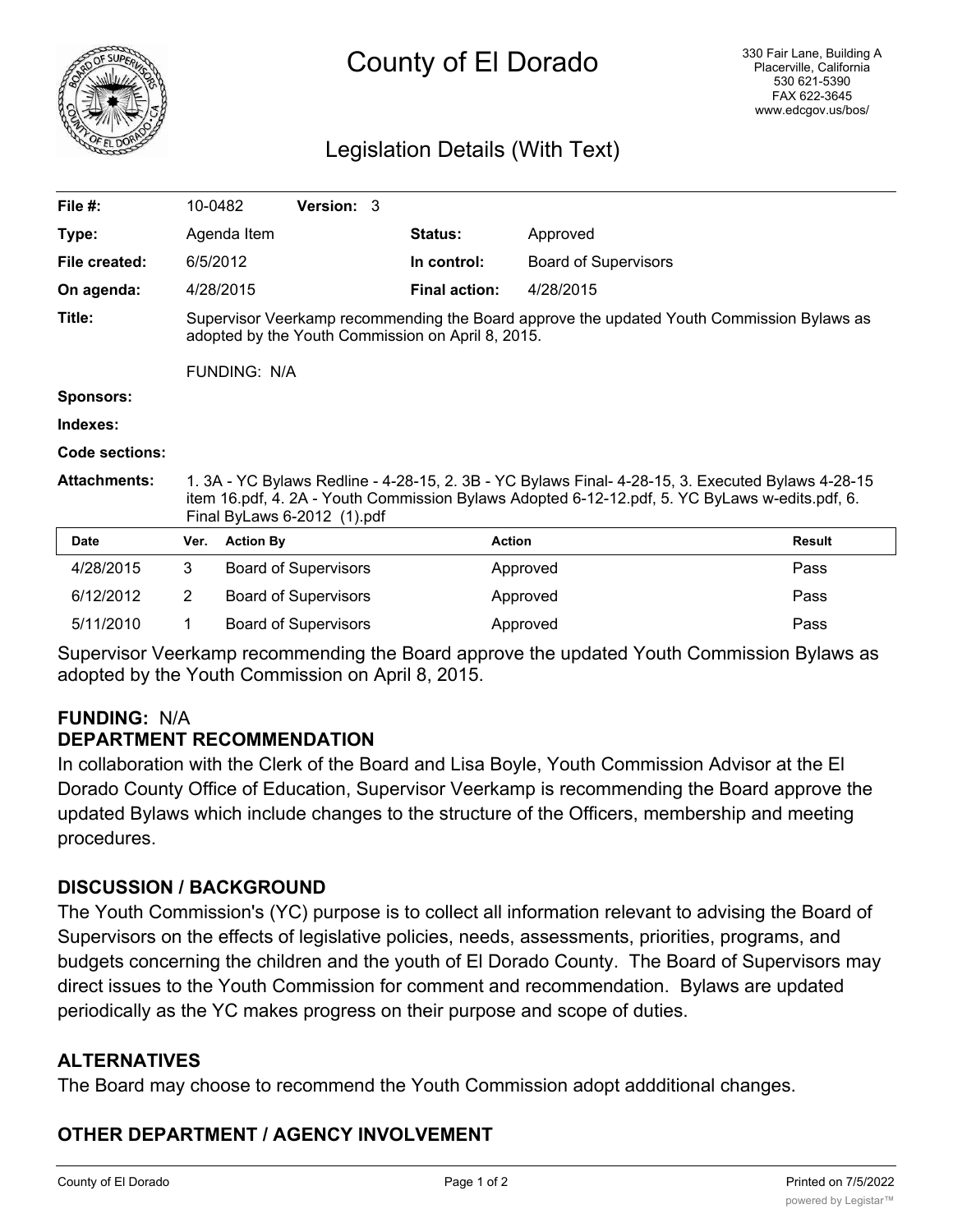

# County of El Dorado

### Legislation Details (With Text)

| File $#$ :            | 10-0482                                                                                                                                                                                                                            |                  | <b>Version: 3</b>           |  |                      |                             |               |
|-----------------------|------------------------------------------------------------------------------------------------------------------------------------------------------------------------------------------------------------------------------------|------------------|-----------------------------|--|----------------------|-----------------------------|---------------|
| Type:                 |                                                                                                                                                                                                                                    | Agenda Item      |                             |  | <b>Status:</b>       | Approved                    |               |
| File created:         | 6/5/2012                                                                                                                                                                                                                           |                  |                             |  | In control:          | <b>Board of Supervisors</b> |               |
| On agenda:            |                                                                                                                                                                                                                                    | 4/28/2015        |                             |  | <b>Final action:</b> | 4/28/2015                   |               |
| Title:                | Supervisor Veerkamp recommending the Board approve the updated Youth Commission Bylaws as<br>adopted by the Youth Commission on April 8, 2015.<br><b>FUNDING: N/A</b>                                                              |                  |                             |  |                      |                             |               |
| <b>Sponsors:</b>      |                                                                                                                                                                                                                                    |                  |                             |  |                      |                             |               |
| Indexes:              |                                                                                                                                                                                                                                    |                  |                             |  |                      |                             |               |
| <b>Code sections:</b> |                                                                                                                                                                                                                                    |                  |                             |  |                      |                             |               |
| <b>Attachments:</b>   | 1. 3A - YC Bylaws Redline - 4-28-15, 2. 3B - YC Bylaws Final- 4-28-15, 3. Executed Bylaws 4-28-15<br>item 16.pdf, 4. 2A - Youth Commission Bylaws Adopted 6-12-12.pdf, 5. YC ByLaws w-edits.pdf, 6.<br>Final ByLaws 6-2012 (1).pdf |                  |                             |  |                      |                             |               |
| <b>Date</b>           | Ver.                                                                                                                                                                                                                               | <b>Action By</b> |                             |  |                      | <b>Action</b>               | <b>Result</b> |
| 4/28/2015             | 3                                                                                                                                                                                                                                  |                  | <b>Board of Supervisors</b> |  |                      | Approved                    | Pass          |
| 6/12/2012             | $\overline{2}$                                                                                                                                                                                                                     |                  | <b>Board of Supervisors</b> |  |                      | Approved                    | Pass          |
| 5/11/2010             | 1                                                                                                                                                                                                                                  |                  | <b>Board of Supervisors</b> |  |                      | Approved                    | Pass          |

Supervisor Veerkamp recommending the Board approve the updated Youth Commission Bylaws as adopted by the Youth Commission on April 8, 2015.

## **FUNDING:** N/A

# **DEPARTMENT RECOMMENDATION**

In collaboration with the Clerk of the Board and Lisa Boyle, Youth Commission Advisor at the El Dorado County Office of Education, Supervisor Veerkamp is recommending the Board approve the updated Bylaws which include changes to the structure of the Officers, membership and meeting procedures.

#### **DISCUSSION / BACKGROUND**

The Youth Commission's (YC) purpose is to collect all information relevant to advising the Board of Supervisors on the effects of legislative policies, needs, assessments, priorities, programs, and budgets concerning the children and the youth of El Dorado County. The Board of Supervisors may direct issues to the Youth Commission for comment and recommendation. Bylaws are updated periodically as the YC makes progress on their purpose and scope of duties.

#### **ALTERNATIVES**

The Board may choose to recommend the Youth Commission adopt addditional changes.

#### **OTHER DEPARTMENT / AGENCY INVOLVEMENT**